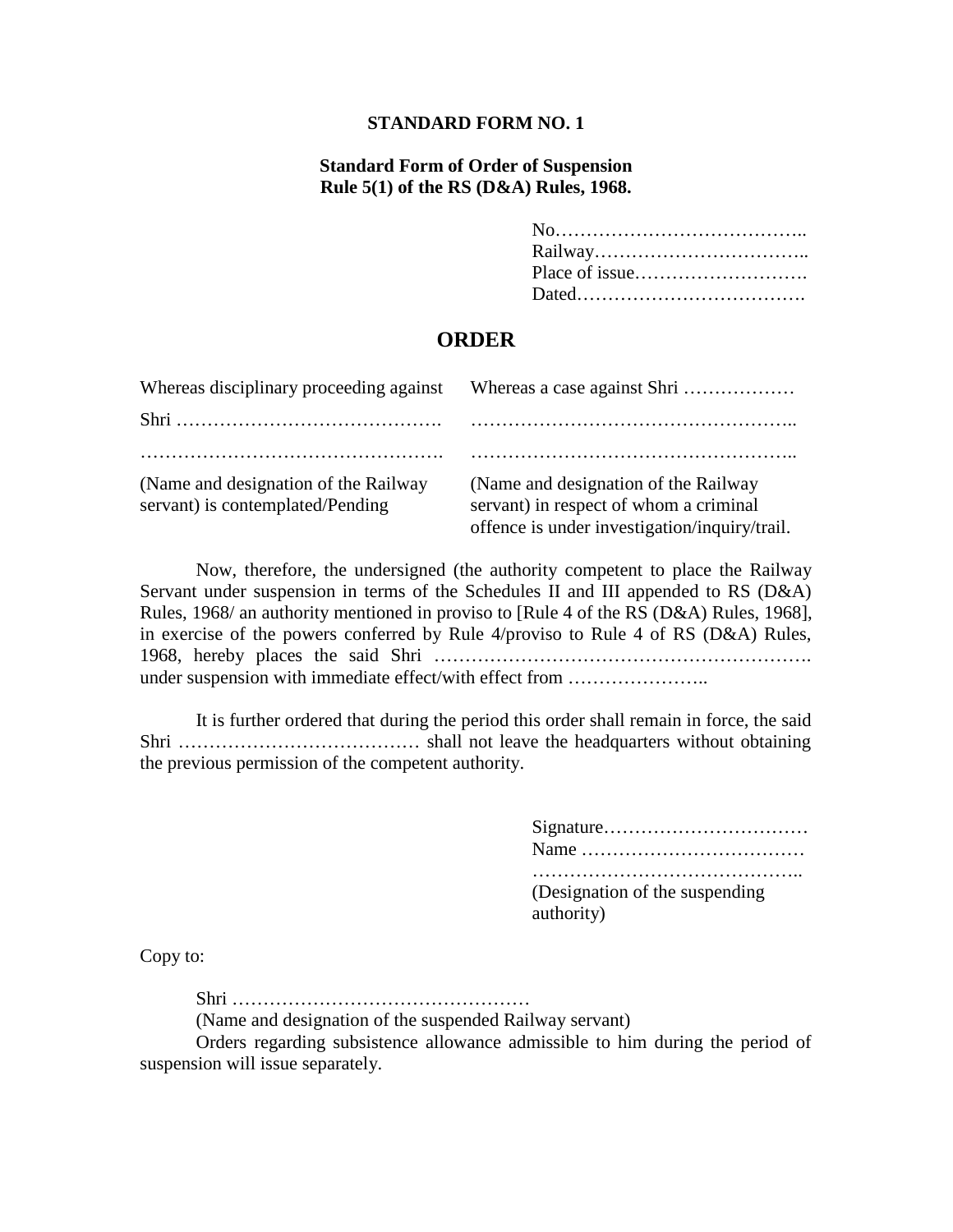## **Standard Form of Order of Suspension Rule 5(1) of the RS (D&A) Rules, 1968.**

# **ORDER**

| Whereas disciplinary proceeding against                                   | Whereas a case against Shri                                                                                                      |
|---------------------------------------------------------------------------|----------------------------------------------------------------------------------------------------------------------------------|
|                                                                           |                                                                                                                                  |
|                                                                           |                                                                                                                                  |
| (Name and designation of the Railway)<br>servant) is contemplated/Pending | (Name and designation of the Railway)<br>servant) in respect of whom a criminal<br>offence is under investigation/inquiry/trail. |

Now, therefore, the undersigned (the authority competent to place the Railway Servant under suspension in terms of the Schedules II and III appended to RS (D&A) Rules, 1968/ an authority mentioned in proviso to [Rule 4 of the RS (D&A) Rules, 1968], in exercise of the powers conferred by Rule 4/proviso to Rule 4 of RS (D&A) Rules, 1968, hereby places the said Shri ……………………………………………………. under suspension with immediate effect/with effect from .........................

It is further ordered that during the period this order shall remain in force, the said Shri ………………………………… shall not leave the headquarters without obtaining the previous permission of the competent authority.

| (Designation of the suspending<br>authority) |  |
|----------------------------------------------|--|

Copy to:

Shri …………………………………………

(Name and designation of the suspended Railway servant)

Orders regarding subsistence allowance admissible to him during the period of suspension will issue separately.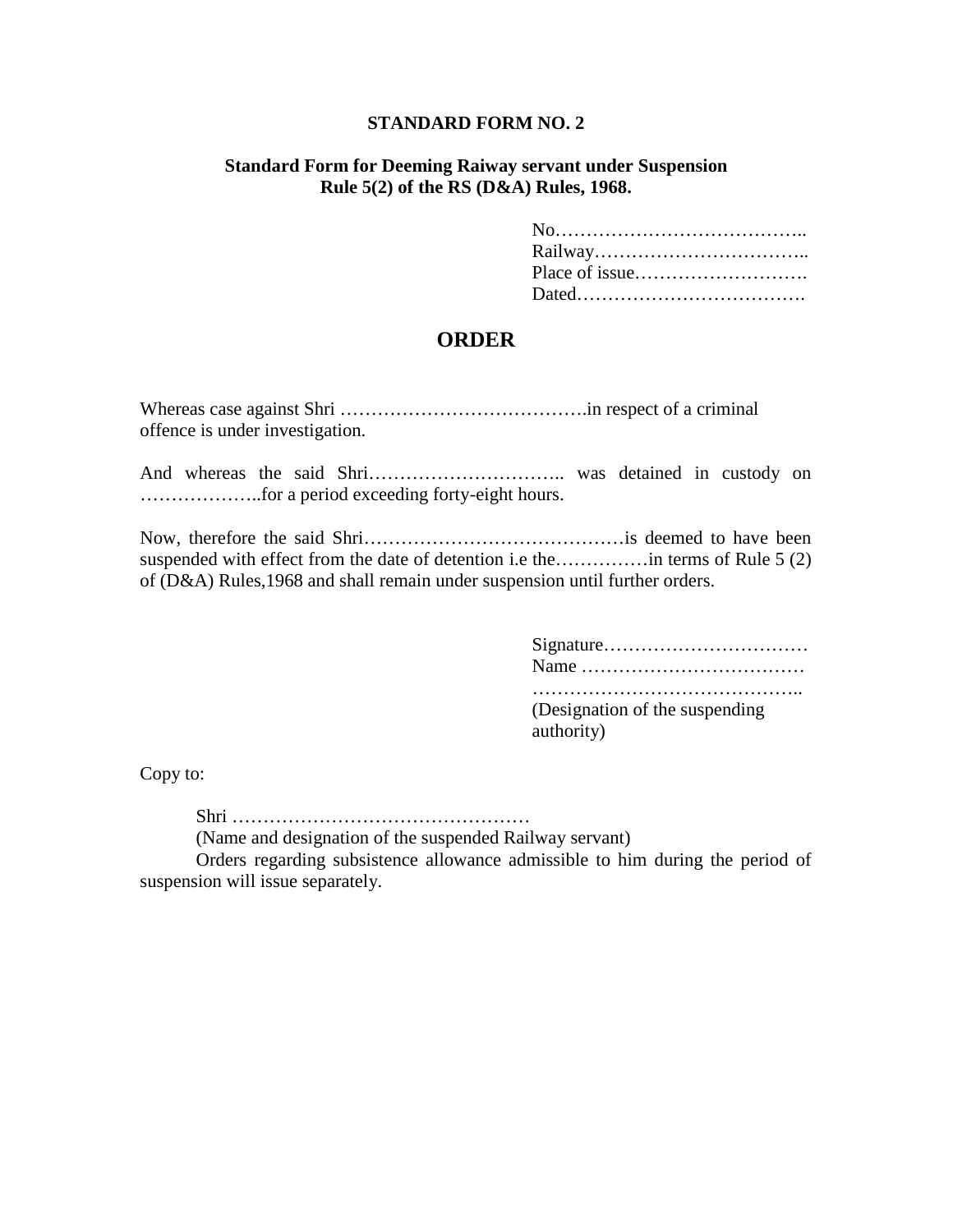### **Standard Form for Deeming Raiway servant under Suspension Rule 5(2) of the RS (D&A) Rules, 1968.**

# **ORDER**

Whereas case against Shri ………………………………….in respect of a criminal offence is under investigation.

And whereas the said Shri………………………………………… was detained in custody on ………………..for a period exceeding forty-eight hours.

Now, therefore the said Shri……………………………………is deemed to have been suspended with effect from the date of detention i.e the…………… in terms of Rule 5 (2) of (D&A) Rules,1968 and shall remain under suspension until further orders.

> Signature…………………………… Name ……………………………… …………………………………….. (Designation of the suspending authority)

Copy to:

Shri …………………………………………

(Name and designation of the suspended Railway servant)

Orders regarding subsistence allowance admissible to him during the period of suspension will issue separately.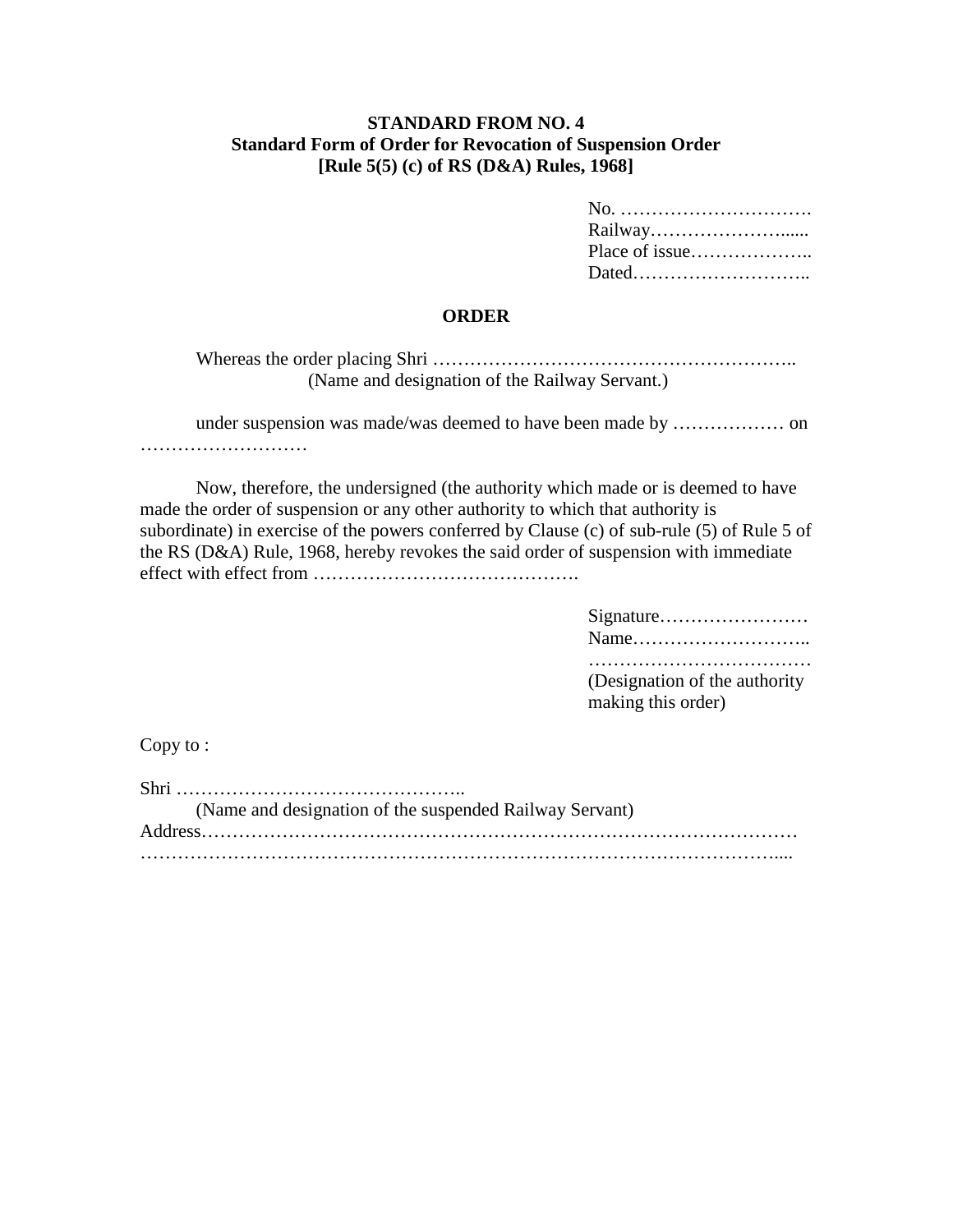# **STANDARD FROM NO. 4 Standard Form of Order for Revocation of Suspension Order [Rule 5(5) (c) of RS (D&A) Rules, 1968]**

| No.            |  |
|----------------|--|
| Railway        |  |
| Place of issue |  |
| Dated          |  |

# **ORDER**

Whereas the order placing Shri ………………………………………………….. (Name and designation of the Railway Servant.)

under suspension was made/was deemed to have been made by ……………… on ……………………………

Now, therefore, the undersigned (the authority which made or is deemed to have made the order of suspension or any other authority to which that authority is subordinate) in exercise of the powers conferred by Clause (c) of sub-rule (5) of Rule 5 of the RS (D&A) Rule, 1968, hereby revokes the said order of suspension with immediate effect with effect from …………………………………….

> Signature…………………… Name……………………….. ………………………………

(Designation of the authority making this order)

Copy to :

| (Name and designation of the suspended Railway Servant) |  |
|---------------------------------------------------------|--|
|                                                         |  |
|                                                         |  |
|                                                         |  |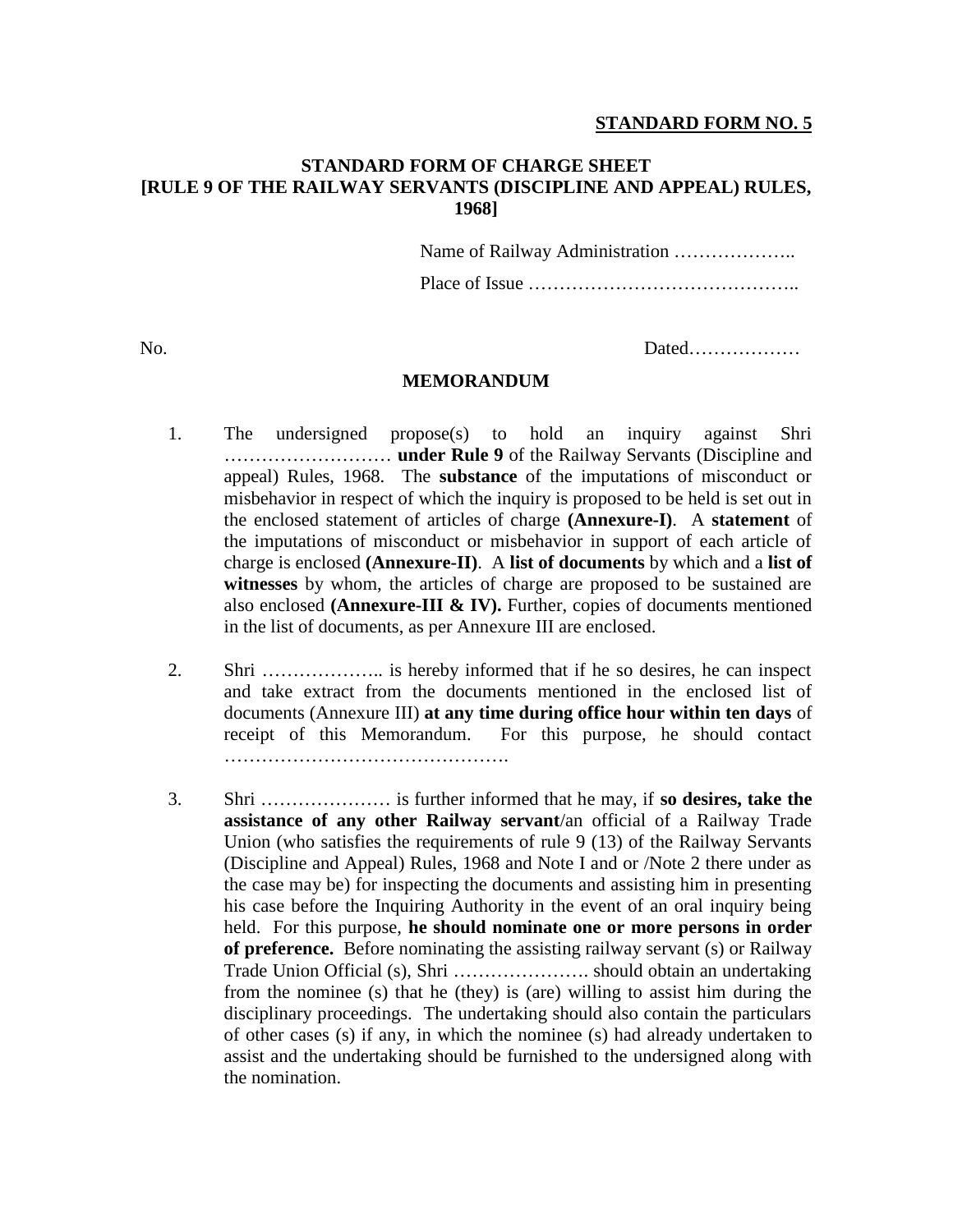### **STANDARD FORM OF CHARGE SHEET [RULE 9 OF THE RAILWAY SERVANTS (DISCIPLINE AND APPEAL) RULES, 1968]**

Name of Railway Administration ……………….. Place of Issue ……………………………………..

No. Dated………………

#### **MEMORANDUM**

- 1. The undersigned propose(s) to hold an inquiry against Shri ……………………… **under Rule 9** of the Railway Servants (Discipline and appeal) Rules, 1968. The **substance** of the imputations of misconduct or misbehavior in respect of which the inquiry is proposed to be held is set out in the enclosed statement of articles of charge **(Annexure-I)**. A **statement** of the imputations of misconduct or misbehavior in support of each article of charge is enclosed **(Annexure-II)**. A **list of documents** by which and a **list of witnesses** by whom, the articles of charge are proposed to be sustained are also enclosed **(Annexure-III & IV).** Further, copies of documents mentioned in the list of documents, as per Annexure III are enclosed.
- 2. Shri ……………….. is hereby informed that if he so desires, he can inspect and take extract from the documents mentioned in the enclosed list of documents (Annexure III) **at any time during office hour within ten days** of receipt of this Memorandum. For this purpose, he should contact ……………………………………….
- 3. Shri ………………… is further informed that he may, if **so desires, take the assistance of any other Railway servant**/an official of a Railway Trade Union (who satisfies the requirements of rule 9 (13) of the Railway Servants (Discipline and Appeal) Rules, 1968 and Note I and or /Note 2 there under as the case may be) for inspecting the documents and assisting him in presenting his case before the Inquiring Authority in the event of an oral inquiry being held. For this purpose, **he should nominate one or more persons in order of preference.** Before nominating the assisting railway servant (s) or Railway Trade Union Official (s), Shri …………………. should obtain an undertaking from the nominee (s) that he (they) is (are) willing to assist him during the disciplinary proceedings. The undertaking should also contain the particulars of other cases (s) if any, in which the nominee (s) had already undertaken to assist and the undertaking should be furnished to the undersigned along with the nomination.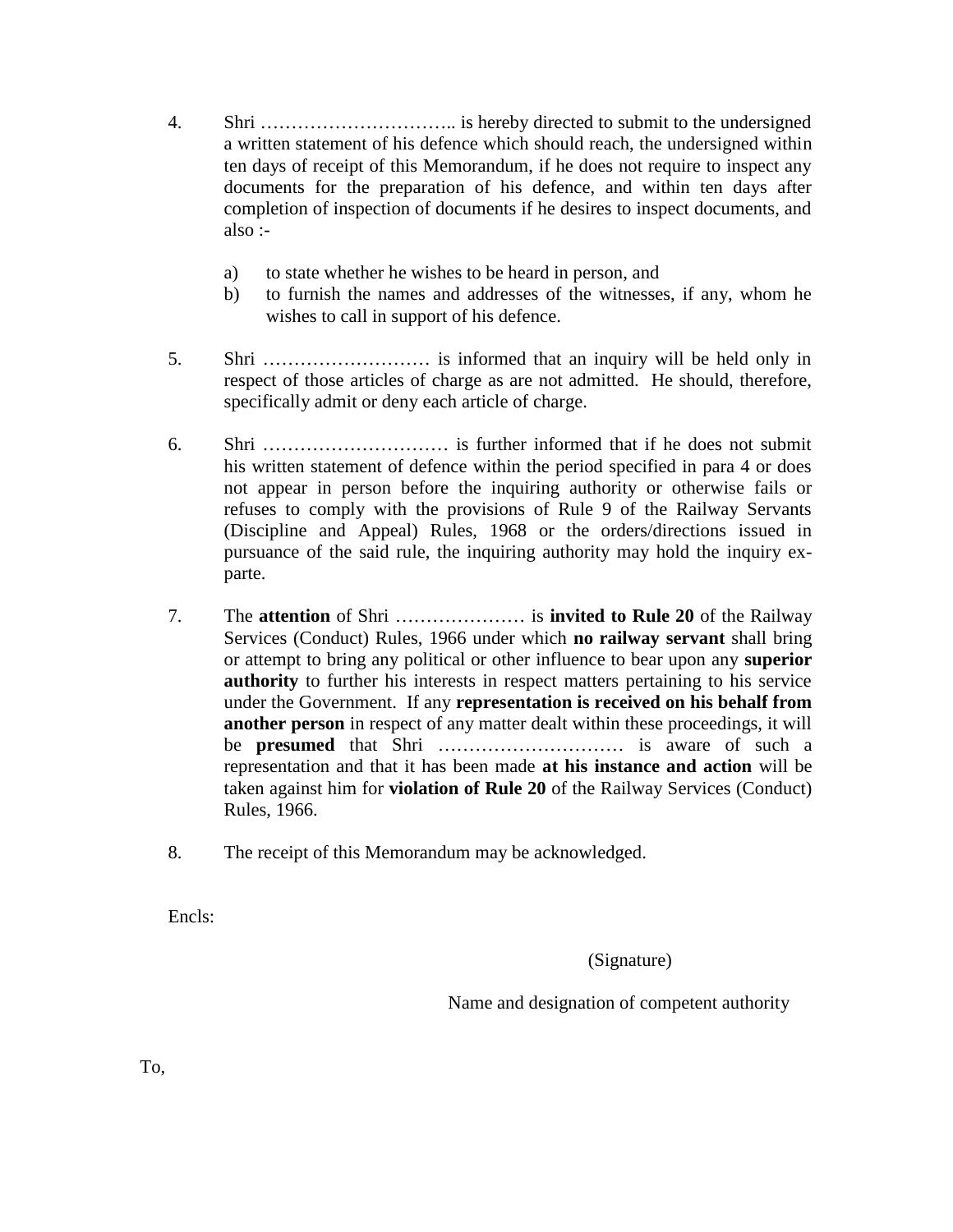- 4. Shri ………………………….. is hereby directed to submit to the undersigned a written statement of his defence which should reach, the undersigned within ten days of receipt of this Memorandum, if he does not require to inspect any documents for the preparation of his defence, and within ten days after completion of inspection of documents if he desires to inspect documents, and also :
	- a) to state whether he wishes to be heard in person, and
	- b) to furnish the names and addresses of the witnesses, if any, whom he wishes to call in support of his defence.
- 5. Shri ……………………… is informed that an inquiry will be held only in respect of those articles of charge as are not admitted. He should, therefore, specifically admit or deny each article of charge.
- 6. Shri ………………………… is further informed that if he does not submit his written statement of defence within the period specified in para 4 or does not appear in person before the inquiring authority or otherwise fails or refuses to comply with the provisions of Rule 9 of the Railway Servants (Discipline and Appeal) Rules, 1968 or the orders/directions issued in pursuance of the said rule, the inquiring authority may hold the inquiry ex parte.
- 7. The **attention** of Shri ………………… is **invited to Rule 20** of the Railway Services (Conduct) Rules, 1966 under which **no railway servant** shall bring or attempt to bring any political or other influence to bear upon any **superior authority** to further his interests in respect matters pertaining to his service under the Government. If any **representation is received on his behalf from another person** in respect of any matter dealt within these proceedings, it will be **presumed** that Shri ………………………… is aware of such a representation and that it has been made **at his instance and action** will be taken against him for **violation of Rule 20** of the Railway Services (Conduct) Rules, 1966.
- 8. The receipt of this Memorandum may be acknowledged.

Encls:

(Signature)

Name and designation of competent authority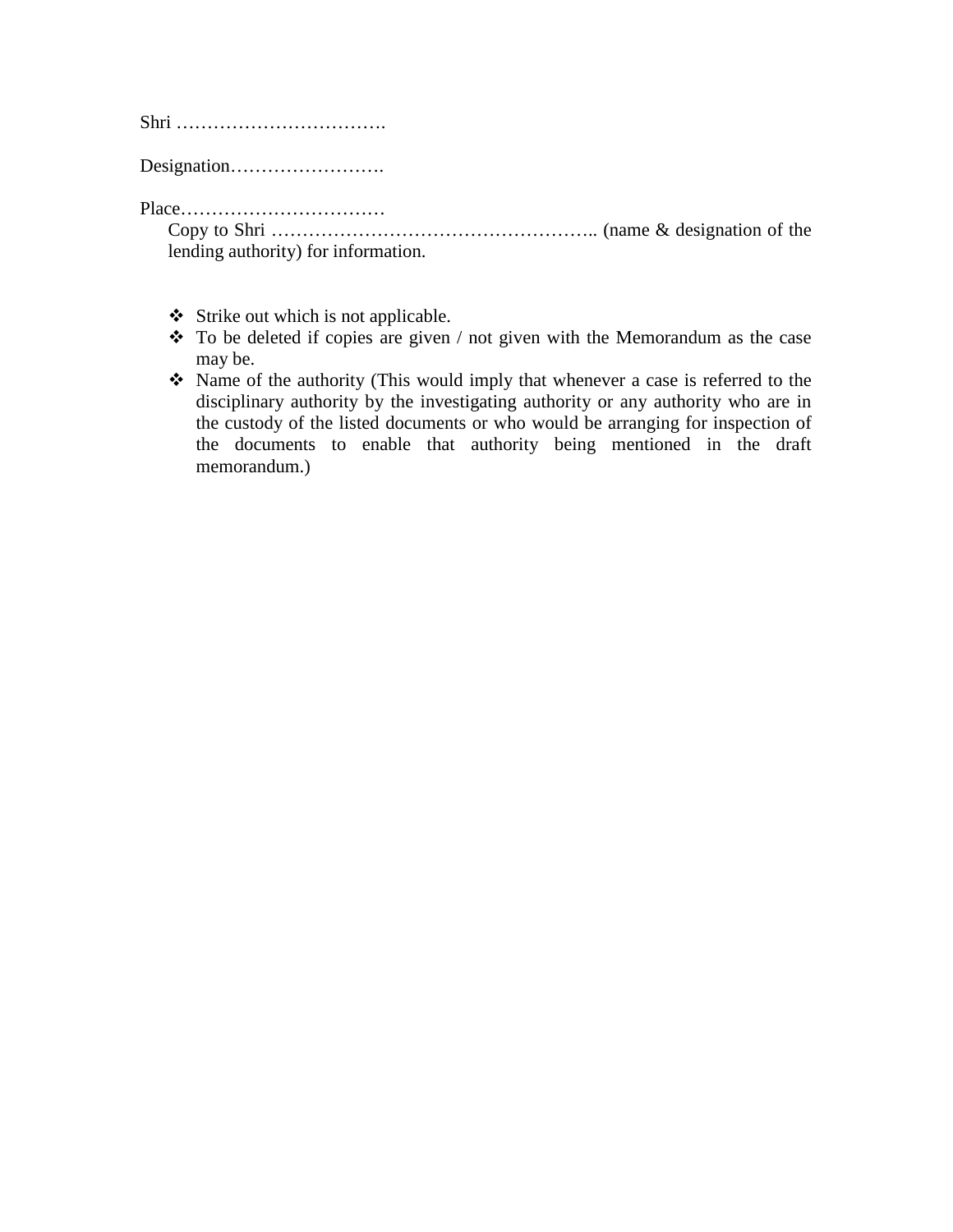Shri …………………………….

Designation…………………….

Place……………………………

Copy to Shri …………………………………………….. (name & designation of the lending authority) for information.

- $\div$  Strike out which is not applicable.
- $\bullet$  To be deleted if copies are given / not given with the Memorandum as the case may be.
- Name of the authority (This would imply that whenever a case is referred to the disciplinary authority by the investigating authority or any authority who are in the custody of the listed documents or who would be arranging for inspection of the documents to enable that authority being mentioned in the draft memorandum.)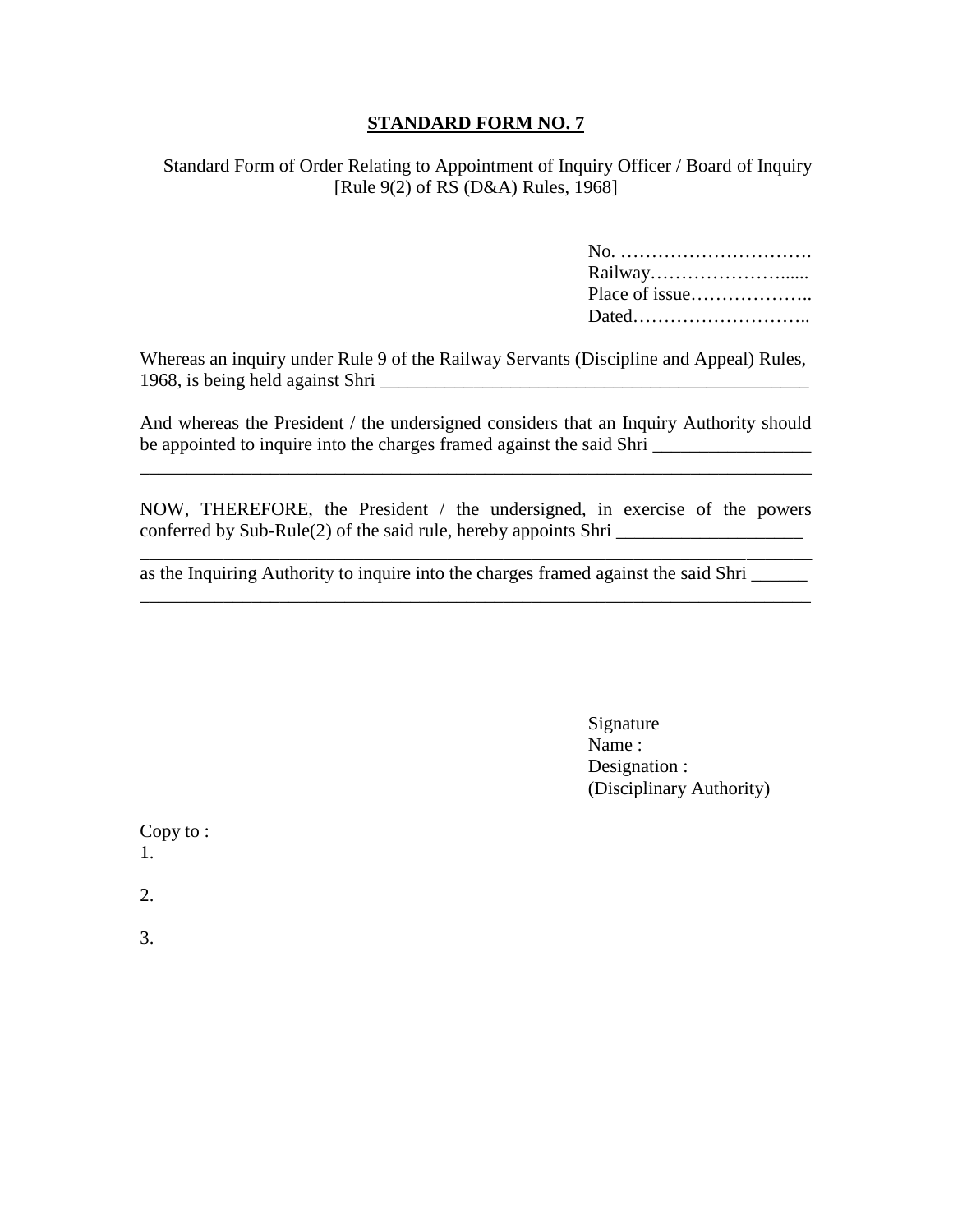Standard Form of Order Relating to Appointment of Inquiry Officer / Board of Inquiry [Rule 9(2) of RS (D&A) Rules, 1968]

| No.            |  |
|----------------|--|
|                |  |
| Place of issue |  |
|                |  |

Whereas an inquiry under Rule 9 of the Railway Servants (Discipline and Appeal) Rules, 1968, is being held against Shri \_\_\_\_\_\_\_\_\_\_\_\_\_\_\_\_\_\_\_\_\_\_\_\_\_\_\_\_\_\_\_\_\_\_\_\_\_\_\_\_\_\_\_\_\_\_

And whereas the President / the undersigned considers that an Inquiry Authority should be appointed to inquire into the charges framed against the said Shri **Exercise** 

\_\_\_\_\_\_\_\_\_\_\_\_\_\_\_\_\_\_\_\_\_\_\_\_\_\_\_\_\_\_\_\_\_\_\_\_\_\_\_\_\_\_\_\_\_\_\_\_\_\_\_\_\_\_\_\_\_\_\_\_\_\_\_\_\_\_\_\_\_\_\_\_

\_\_\_\_\_\_\_\_\_\_\_\_\_\_\_\_\_\_\_\_\_\_\_\_\_\_\_\_\_\_\_\_\_\_\_\_\_\_\_\_\_\_\_\_\_\_\_\_\_\_\_\_\_\_\_\_\_\_\_\_\_\_\_\_\_\_\_\_\_\_\_\_

\_\_\_\_\_\_\_\_\_\_\_\_\_\_\_\_\_\_\_\_\_\_\_\_\_\_\_\_\_\_\_\_\_\_\_\_\_\_\_\_\_\_\_\_\_\_\_\_\_\_\_\_\_\_\_\_\_\_\_\_\_\_\_\_\_\_\_\_\_\_\_\_

NOW, THEREFORE, the President / the undersigned, in exercise of the powers conferred by Sub-Rule(2) of the said rule, hereby appoints Shri  $\frac{1}{\sqrt{1-\frac{1}{\sqrt{1-\frac{1}{\sqrt{1-\frac{1}{\sqrt{1-\frac{1}{\sqrt{1-\frac{1}{\sqrt{1-\frac{1}{\sqrt{1-\frac{1}{\sqrt{1-\frac{1}{\sqrt{1-\frac{1}{\sqrt{1-\frac{1}{\sqrt{1-\frac{1}{\sqrt{1-\frac{1}{\sqrt{1-\frac{1}{\sqrt{1-\frac{1}{\sqrt{1-\frac{1}{\sqrt{1-\frac{1}{\sqrt{1-\frac{$ 

as the Inquiring Authority to inquire into the charges framed against the said Shri \_\_\_\_\_\_

Signature Name : Designation : (Disciplinary Authority)

| Copy to:<br>1. |  |
|----------------|--|
| 2.             |  |
| 3              |  |